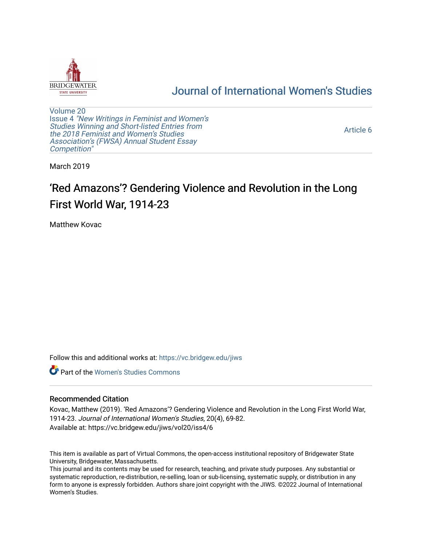

## [Journal of International Women's Studies](https://vc.bridgew.edu/jiws)

[Volume 20](https://vc.bridgew.edu/jiws/vol20) Issue 4 ["New Writings in Feminist and Women's](https://vc.bridgew.edu/jiws/vol20/iss4) [Studies Winning and Short-listed Entries from](https://vc.bridgew.edu/jiws/vol20/iss4) [the 2018 Feminist and Women's Studies](https://vc.bridgew.edu/jiws/vol20/iss4)  [Association's \(FWSA\) Annual Student Essay](https://vc.bridgew.edu/jiws/vol20/iss4) [Competition"](https://vc.bridgew.edu/jiws/vol20/iss4) 

[Article 6](https://vc.bridgew.edu/jiws/vol20/iss4/6) 

March 2019

# 'Red Amazons'? Gendering Violence and Revolution in the Long First World War, 1914-23

Matthew Kovac

Follow this and additional works at: [https://vc.bridgew.edu/jiws](https://vc.bridgew.edu/jiws?utm_source=vc.bridgew.edu%2Fjiws%2Fvol20%2Fiss4%2F6&utm_medium=PDF&utm_campaign=PDFCoverPages)

**C** Part of the Women's Studies Commons

#### Recommended Citation

Kovac, Matthew (2019). 'Red Amazons'? Gendering Violence and Revolution in the Long First World War, 1914-23. Journal of International Women's Studies, 20(4), 69-82. Available at: https://vc.bridgew.edu/jiws/vol20/iss4/6

This item is available as part of Virtual Commons, the open-access institutional repository of Bridgewater State University, Bridgewater, Massachusetts.

This journal and its contents may be used for research, teaching, and private study purposes. Any substantial or systematic reproduction, re-distribution, re-selling, loan or sub-licensing, systematic supply, or distribution in any form to anyone is expressly forbidden. Authors share joint copyright with the JIWS. ©2022 Journal of International Women's Studies.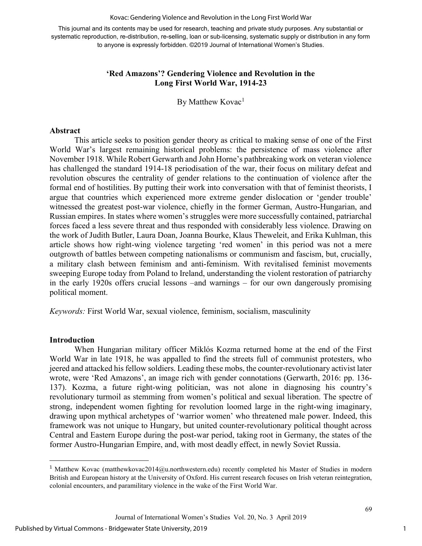#### Kovac: Gendering Violence and Revolution in the Long First World War

This journal and its contents may be used for research, teaching and private study purposes. Any substantial or systematic reproduction, re-distribution, re-selling, loan or sub-licensing, systematic supply or distribution in any form to anyone is expressly forbidden. ©2019 Journal of International Women's Studies.

#### 'Red Amazons'? Gendering Violence and Revolution in the Long First World War, 1914-23

By Matthew Kovac<sup>1</sup>

#### Abstract

This article seeks to position gender theory as critical to making sense of one of the First World War's largest remaining historical problems: the persistence of mass violence after November 1918. While Robert Gerwarth and John Horne's pathbreaking work on veteran violence has challenged the standard 1914-18 periodisation of the war, their focus on military defeat and revolution obscures the centrality of gender relations to the continuation of violence after the formal end of hostilities. By putting their work into conversation with that of feminist theorists, I argue that countries which experienced more extreme gender dislocation or 'gender trouble' witnessed the greatest post-war violence, chiefly in the former German, Austro-Hungarian, and Russian empires. In states where women's struggles were more successfully contained, patriarchal forces faced a less severe threat and thus responded with considerably less violence. Drawing on the work of Judith Butler, Laura Doan, Joanna Bourke, Klaus Theweleit, and Erika Kuhlman, this article shows how right-wing violence targeting 'red women' in this period was not a mere outgrowth of battles between competing nationalisms or communism and fascism, but, crucially, a military clash between feminism and anti-feminism. With revitalised feminist movements sweeping Europe today from Poland to Ireland, understanding the violent restoration of patriarchy in the early 1920s offers crucial lessons –and warnings – for our own dangerously promising political moment.

Keywords: First World War, sexual violence, feminism, socialism, masculinity

#### Introduction

-

When Hungarian military officer Miklós Kozma returned home at the end of the First World War in late 1918, he was appalled to find the streets full of communist protesters, who jeered and attacked his fellow soldiers. Leading these mobs, the counter-revolutionary activist later wrote, were 'Red Amazons', an image rich with gender connotations (Gerwarth, 2016: pp. 136- 137). Kozma, a future right-wing politician, was not alone in diagnosing his country's revolutionary turmoil as stemming from women's political and sexual liberation. The spectre of strong, independent women fighting for revolution loomed large in the right-wing imaginary, drawing upon mythical archetypes of 'warrior women' who threatened male power. Indeed, this framework was not unique to Hungary, but united counter-revolutionary political thought across Central and Eastern Europe during the post-war period, taking root in Germany, the states of the former Austro-Hungarian Empire, and, with most deadly effect, in newly Soviet Russia.

<sup>&</sup>lt;sup>1</sup> Matthew Kovac (matthewkovac2014@u.northwestern.edu) recently completed his Master of Studies in modern British and European history at the University of Oxford. His current research focuses on Irish veteran reintegration, colonial encounters, and paramilitary violence in the wake of the First World War.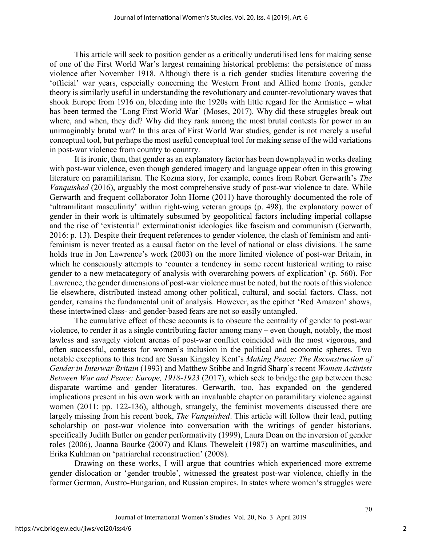This article will seek to position gender as a critically underutilised lens for making sense of one of the First World War's largest remaining historical problems: the persistence of mass violence after November 1918. Although there is a rich gender studies literature covering the 'official' war years, especially concerning the Western Front and Allied home fronts, gender theory is similarly useful in understanding the revolutionary and counter-revolutionary waves that shook Europe from 1916 on, bleeding into the 1920s with little regard for the Armistice – what has been termed the 'Long First World War' (Moses, 2017). Why did these struggles break out where, and when, they did? Why did they rank among the most brutal contests for power in an unimaginably brutal war? In this area of First World War studies, gender is not merely a useful conceptual tool, but perhaps the most useful conceptual tool for making sense of the wild variations in post-war violence from country to country.

It is ironic, then, that gender as an explanatory factor has been downplayed in works dealing with post-war violence, even though gendered imagery and language appear often in this growing literature on paramilitarism. The Kozma story, for example, comes from Robert Gerwarth's The Vanquished (2016), arguably the most comprehensive study of post-war violence to date. While Gerwarth and frequent collaborator John Horne (2011) have thoroughly documented the role of 'ultramilitant masculinity' within right-wing veteran groups (p. 498), the explanatory power of gender in their work is ultimately subsumed by geopolitical factors including imperial collapse and the rise of 'existential' exterminationist ideologies like fascism and communism (Gerwarth, 2016: p. 13). Despite their frequent references to gender violence, the clash of feminism and antifeminism is never treated as a causal factor on the level of national or class divisions. The same holds true in Jon Lawrence's work (2003) on the more limited violence of post-war Britain, in which he consciously attempts to 'counter a tendency in some recent historical writing to raise gender to a new metacategory of analysis with overarching powers of explication' (p. 560). For Lawrence, the gender dimensions of post-war violence must be noted, but the roots of this violence lie elsewhere, distributed instead among other political, cultural, and social factors. Class, not gender, remains the fundamental unit of analysis. However, as the epithet 'Red Amazon' shows, these intertwined class- and gender-based fears are not so easily untangled.

The cumulative effect of these accounts is to obscure the centrality of gender to post-war violence, to render it as a single contributing factor among many – even though, notably, the most lawless and savagely violent arenas of post-war conflict coincided with the most vigorous, and often successful, contests for women's inclusion in the political and economic spheres. Two notable exceptions to this trend are Susan Kingsley Kent's Making Peace: The Reconstruction of Gender in Interwar Britain (1993) and Matthew Stibbe and Ingrid Sharp's recent Women Activists Between War and Peace: Europe, 1918-1923 (2017), which seek to bridge the gap between these disparate wartime and gender literatures. Gerwarth, too, has expanded on the gendered implications present in his own work with an invaluable chapter on paramilitary violence against women (2011: pp. 122-136), although, strangely, the feminist movements discussed there are largely missing from his recent book, *The Vanquished*. This article will follow their lead, putting scholarship on post-war violence into conversation with the writings of gender historians, specifically Judith Butler on gender performativity (1999), Laura Doan on the inversion of gender roles (2006), Joanna Bourke (2007) and Klaus Theweleit (1987) on wartime masculinities, and Erika Kuhlman on 'patriarchal reconstruction' (2008).

Drawing on these works, I will argue that countries which experienced more extreme gender dislocation or 'gender trouble', witnessed the greatest post-war violence, chiefly in the former German, Austro-Hungarian, and Russian empires. In states where women's struggles were

2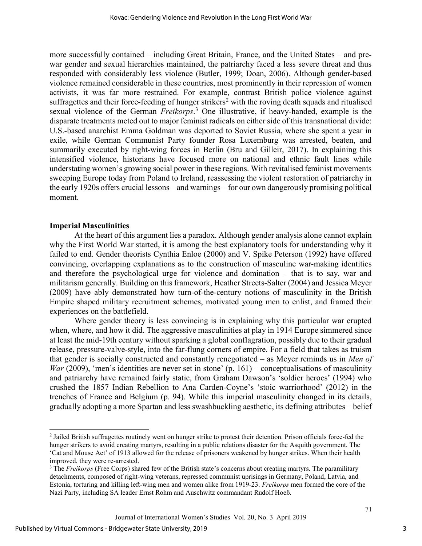more successfully contained – including Great Britain, France, and the United States – and prewar gender and sexual hierarchies maintained, the patriarchy faced a less severe threat and thus responded with considerably less violence (Butler, 1999; Doan, 2006). Although gender-based violence remained considerable in these countries, most prominently in their repression of women activists, it was far more restrained. For example, contrast British police violence against suffragettes and their force-feeding of hunger strikers<sup>2</sup> with the roving death squads and ritualised sexual violence of the German *Freikorps*.<sup>3</sup> One illustrative, if heavy-handed, example is the disparate treatments meted out to major feminist radicals on either side of this transnational divide: U.S.-based anarchist Emma Goldman was deported to Soviet Russia, where she spent a year in exile, while German Communist Party founder Rosa Luxemburg was arrested, beaten, and summarily executed by right-wing forces in Berlin (Bru and Gilleir, 2017). In explaining this intensified violence, historians have focused more on national and ethnic fault lines while understating women's growing social power in these regions. With revitalised feminist movements sweeping Europe today from Poland to Ireland, reassessing the violent restoration of patriarchy in the early 1920s offers crucial lessons – and warnings – for our own dangerously promising political moment.

#### Imperial Masculinities

 $\overline{a}$ 

At the heart of this argument lies a paradox. Although gender analysis alone cannot explain why the First World War started, it is among the best explanatory tools for understanding why it failed to end. Gender theorists Cynthia Enloe (2000) and V. Spike Peterson (1992) have offered convincing, overlapping explanations as to the construction of masculine war-making identities and therefore the psychological urge for violence and domination – that is to say, war and militarism generally. Building on this framework, Heather Streets-Salter (2004) and Jessica Meyer (2009) have ably demonstrated how turn-of-the-century notions of masculinity in the British Empire shaped military recruitment schemes, motivated young men to enlist, and framed their experiences on the battlefield.

Where gender theory is less convincing is in explaining why this particular war erupted when, where, and how it did. The aggressive masculinities at play in 1914 Europe simmered since at least the mid-19th century without sparking a global conflagration, possibly due to their gradual release, pressure-valve-style, into the far-flung corners of empire. For a field that takes as truism that gender is socially constructed and constantly renegotiated – as Meyer reminds us in Men of War (2009), 'men's identities are never set in stone' (p. 161) – conceptualisations of masculinity and patriarchy have remained fairly static, from Graham Dawson's 'soldier heroes' (1994) who crushed the 1857 Indian Rebellion to Ana Carden-Coyne's 'stoic warriorhood' (2012) in the trenches of France and Belgium (p. 94). While this imperial masculinity changed in its details, gradually adopting a more Spartan and less swashbuckling aesthetic, its defining attributes – belief

<sup>&</sup>lt;sup>2</sup> Jailed British suffragettes routinely went on hunger strike to protest their detention. Prison officials force-fed the hunger strikers to avoid creating martyrs, resulting in a public relations disaster for the Asquith government. The 'Cat and Mouse Act' of 1913 allowed for the release of prisoners weakened by hunger strikes. When their health improved, they were re-arrested.

 $3$  The Freikorps (Free Corps) shared few of the British state's concerns about creating martyrs. The paramilitary detachments, composed of right-wing veterans, repressed communist uprisings in Germany, Poland, Latvia, and Estonia, torturing and killing left-wing men and women alike from 1919-23. Freikorps men formed the core of the Nazi Party, including SA leader Ernst Rohm and Auschwitz commandant Rudolf Hoeß.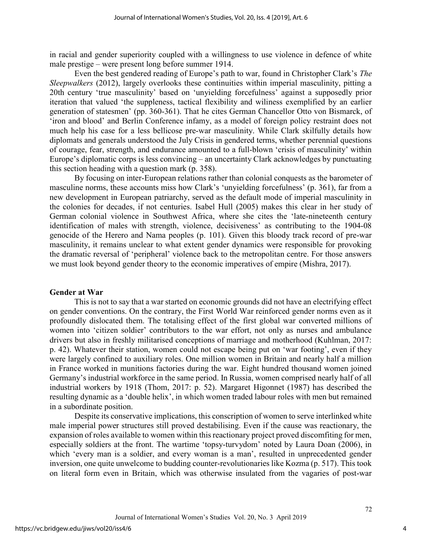in racial and gender superiority coupled with a willingness to use violence in defence of white male prestige – were present long before summer 1914.

Even the best gendered reading of Europe's path to war, found in Christopher Clark's The Sleepwalkers (2012), largely overlooks these continuities within imperial masculinity, pitting a 20th century 'true masculinity' based on 'unyielding forcefulness' against a supposedly prior iteration that valued 'the suppleness, tactical flexibility and wiliness exemplified by an earlier generation of statesmen' (pp. 360-361). That he cites German Chancellor Otto von Bismarck, of 'iron and blood' and Berlin Conference infamy, as a model of foreign policy restraint does not much help his case for a less bellicose pre-war masculinity. While Clark skilfully details how diplomats and generals understood the July Crisis in gendered terms, whether perennial questions of courage, fear, strength, and endurance amounted to a full-blown 'crisis of masculinity' within Europe's diplomatic corps is less convincing – an uncertainty Clark acknowledges by punctuating this section heading with a question mark (p. 358).

By focusing on inter-European relations rather than colonial conquests as the barometer of masculine norms, these accounts miss how Clark's 'unyielding forcefulness' (p. 361), far from a new development in European patriarchy, served as the default mode of imperial masculinity in the colonies for decades, if not centuries. Isabel Hull (2005) makes this clear in her study of German colonial violence in Southwest Africa, where she cites the 'late-nineteenth century identification of males with strength, violence, decisiveness' as contributing to the 1904-08 genocide of the Herero and Nama peoples (p. 101). Given this bloody track record of pre-war masculinity, it remains unclear to what extent gender dynamics were responsible for provoking the dramatic reversal of 'peripheral' violence back to the metropolitan centre. For those answers we must look beyond gender theory to the economic imperatives of empire (Mishra, 2017).

#### Gender at War

This is not to say that a war started on economic grounds did not have an electrifying effect on gender conventions. On the contrary, the First World War reinforced gender norms even as it profoundly dislocated them. The totalising effect of the first global war converted millions of women into 'citizen soldier' contributors to the war effort, not only as nurses and ambulance drivers but also in freshly militarised conceptions of marriage and motherhood (Kuhlman, 2017: p. 42). Whatever their station, women could not escape being put on 'war footing', even if they were largely confined to auxiliary roles. One million women in Britain and nearly half a million in France worked in munitions factories during the war. Eight hundred thousand women joined Germany's industrial workforce in the same period. In Russia, women comprised nearly half of all industrial workers by 1918 (Thom, 2017: p. 52). Margaret Higonnet (1987) has described the resulting dynamic as a 'double helix', in which women traded labour roles with men but remained in a subordinate position.

Despite its conservative implications, this conscription of women to serve interlinked white male imperial power structures still proved destabilising. Even if the cause was reactionary, the expansion of roles available to women within this reactionary project proved discomfiting for men, especially soldiers at the front. The wartime 'topsy-turvydom' noted by Laura Doan (2006), in which 'every man is a soldier, and every woman is a man', resulted in unprecedented gender inversion, one quite unwelcome to budding counter-revolutionaries like Kozma (p. 517). This took on literal form even in Britain, which was otherwise insulated from the vagaries of post-war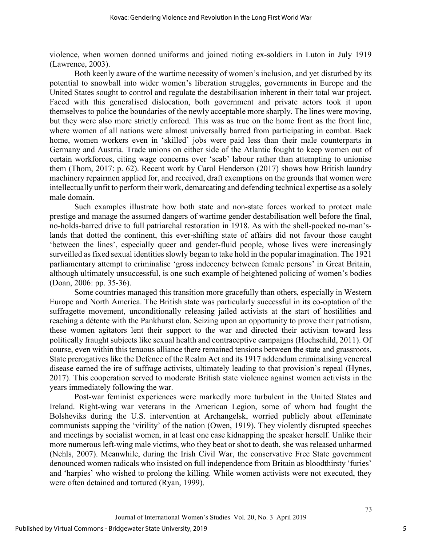violence, when women donned uniforms and joined rioting ex-soldiers in Luton in July 1919 (Lawrence, 2003).

Both keenly aware of the wartime necessity of women's inclusion, and yet disturbed by its potential to snowball into wider women's liberation struggles, governments in Europe and the United States sought to control and regulate the destabilisation inherent in their total war project. Faced with this generalised dislocation, both government and private actors took it upon themselves to police the boundaries of the newly acceptable more sharply. The lines were moving, but they were also more strictly enforced. This was as true on the home front as the front line, where women of all nations were almost universally barred from participating in combat. Back home, women workers even in 'skilled' jobs were paid less than their male counterparts in Germany and Austria. Trade unions on either side of the Atlantic fought to keep women out of certain workforces, citing wage concerns over 'scab' labour rather than attempting to unionise them (Thom, 2017: p. 62). Recent work by Carol Henderson (2017) shows how British laundry machinery repairmen applied for, and received, draft exemptions on the grounds that women were intellectually unfit to perform their work, demarcating and defending technical expertise as a solely male domain.

Such examples illustrate how both state and non-state forces worked to protect male prestige and manage the assumed dangers of wartime gender destabilisation well before the final, no-holds-barred drive to full patriarchal restoration in 1918. As with the shell-pocked no-man'slands that dotted the continent, this ever-shifting state of affairs did not favour those caught 'between the lines', especially queer and gender-fluid people, whose lives were increasingly surveilled as fixed sexual identities slowly began to take hold in the popular imagination. The 1921 parliamentary attempt to criminalise 'gross indecency between female persons' in Great Britain, although ultimately unsuccessful, is one such example of heightened policing of women's bodies (Doan, 2006: pp. 35-36).

Some countries managed this transition more gracefully than others, especially in Western Europe and North America. The British state was particularly successful in its co-optation of the suffragette movement, unconditionally releasing jailed activists at the start of hostilities and reaching a détente with the Pankhurst clan. Seizing upon an opportunity to prove their patriotism, these women agitators lent their support to the war and directed their activism toward less politically fraught subjects like sexual health and contraceptive campaigns (Hochschild, 2011). Of course, even within this tenuous alliance there remained tensions between the state and grassroots. State prerogatives like the Defence of the Realm Act and its 1917 addendum criminalising venereal disease earned the ire of suffrage activists, ultimately leading to that provision's repeal (Hynes, 2017). This cooperation served to moderate British state violence against women activists in the years immediately following the war.

Post-war feminist experiences were markedly more turbulent in the United States and Ireland. Right-wing war veterans in the American Legion, some of whom had fought the Bolsheviks during the U.S. intervention at Archangelsk, worried publicly about effeminate communists sapping the 'virility' of the nation (Owen, 1919). They violently disrupted speeches and meetings by socialist women, in at least one case kidnapping the speaker herself. Unlike their more numerous left-wing male victims, who they beat or shot to death, she was released unharmed (Nehls, 2007). Meanwhile, during the Irish Civil War, the conservative Free State government denounced women radicals who insisted on full independence from Britain as bloodthirsty 'furies' and 'harpies' who wished to prolong the killing. While women activists were not executed, they were often detained and tortured (Ryan, 1999).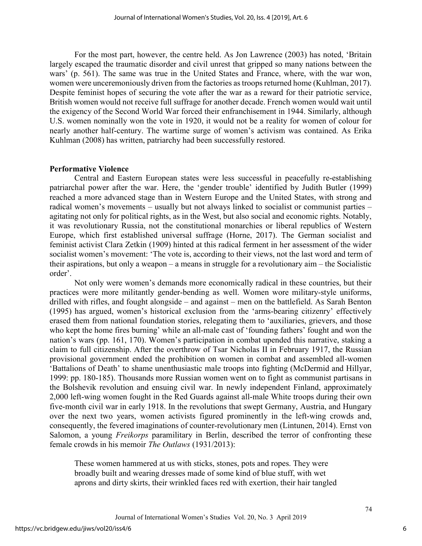For the most part, however, the centre held. As Jon Lawrence (2003) has noted, 'Britain largely escaped the traumatic disorder and civil unrest that gripped so many nations between the wars' (p. 561). The same was true in the United States and France, where, with the war won, women were unceremoniously driven from the factories as troops returned home (Kuhlman, 2017). Despite feminist hopes of securing the vote after the war as a reward for their patriotic service, British women would not receive full suffrage for another decade. French women would wait until the exigency of the Second World War forced their enfranchisement in 1944. Similarly, although U.S. women nominally won the vote in 1920, it would not be a reality for women of colour for nearly another half-century. The wartime surge of women's activism was contained. As Erika Kuhlman (2008) has written, patriarchy had been successfully restored.

#### Performative Violence

Central and Eastern European states were less successful in peacefully re-establishing patriarchal power after the war. Here, the 'gender trouble' identified by Judith Butler (1999) reached a more advanced stage than in Western Europe and the United States, with strong and radical women's movements – usually but not always linked to socialist or communist parties – agitating not only for political rights, as in the West, but also social and economic rights. Notably, it was revolutionary Russia, not the constitutional monarchies or liberal republics of Western Europe, which first established universal suffrage (Horne, 2017). The German socialist and feminist activist Clara Zetkin (1909) hinted at this radical ferment in her assessment of the wider socialist women's movement: 'The vote is, according to their views, not the last word and term of their aspirations, but only a weapon – a means in struggle for a revolutionary aim – the Socialistic order'.

Not only were women's demands more economically radical in these countries, but their practices were more militantly gender-bending as well. Women wore military-style uniforms, drilled with rifles, and fought alongside – and against – men on the battlefield. As Sarah Benton (1995) has argued, women's historical exclusion from the 'arms-bearing citizenry' effectively erased them from national foundation stories, relegating them to 'auxiliaries, grievers, and those who kept the home fires burning' while an all-male cast of 'founding fathers' fought and won the nation's wars (pp. 161, 170). Women's participation in combat upended this narrative, staking a claim to full citizenship. After the overthrow of Tsar Nicholas II in February 1917, the Russian provisional government ended the prohibition on women in combat and assembled all-women 'Battalions of Death' to shame unenthusiastic male troops into fighting (McDermid and Hillyar, 1999: pp. 180-185). Thousands more Russian women went on to fight as communist partisans in the Bolshevik revolution and ensuing civil war. In newly independent Finland, approximately 2,000 left-wing women fought in the Red Guards against all-male White troops during their own five-month civil war in early 1918. In the revolutions that swept Germany, Austria, and Hungary over the next two years, women activists figured prominently in the left-wing crowds and, consequently, the fevered imaginations of counter-revolutionary men (Lintunen, 2014). Ernst von Salomon, a young *Freikorps* paramilitary in Berlin, described the terror of confronting these female crowds in his memoir The Outlaws (1931/2013):

These women hammered at us with sticks, stones, pots and ropes. They were broadly built and wearing dresses made of some kind of blue stuff, with wet aprons and dirty skirts, their wrinkled faces red with exertion, their hair tangled

Journal of International Women's Studies Vol. 20, No. 3 April 2019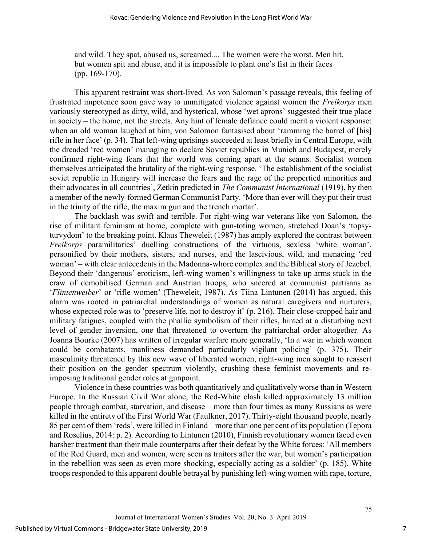and wild. They spat, abused us, screamed.... The women were the worst. Men hit, but women spit and abuse, and it is impossible to plant one's fist in their faces (pp. 169-170).

This apparent restraint was short-lived. As von Salomon's passage reveals, this feeling of frustrated impotence soon gave way to unmitigated violence against women the Freikorps men variously stereotyped as dirty, wild, and hysterical, whose 'wet aprons' suggested their true place in society – the home, not the streets. Any hint of female defiance could merit a violent response: when an old woman laughed at him, von Salomon fantasised about 'ramming the barrel of [his] rifle in her face' (p. 34). That left-wing uprisings succeeded at least briefly in Central Europe, with the dreaded 'red women' managing to declare Soviet republics in Munich and Budapest, merely confirmed right-wing fears that the world was coming apart at the seams. Socialist women themselves anticipated the brutality of the right-wing response. 'The establishment of the socialist soviet republic in Hungary will increase the fears and the rage of the propertied minorities and their advocates in all countries', Zetkin predicted in The Communist International (1919), by then a member of the newly-formed German Communist Party. 'More than ever will they put their trust in the trinity of the rifle, the maxim gun and the trench mortar'.

The backlash was swift and terrible. For right-wing war veterans like von Salomon, the rise of militant feminism at home, complete with gun-toting women, stretched Doan's 'topsyturvydom' to the breaking point. Klaus Theweleit (1987) has amply explored the contrast between Freikorps paramilitaries' duelling constructions of the virtuous, sexless 'white woman', personified by their mothers, sisters, and nurses, and the lascivious, wild, and menacing 'red woman' – with clear antecedents in the Madonna-whore complex and the Biblical story of Jezebel. Beyond their 'dangerous' eroticism, left-wing women's willingness to take up arms stuck in the craw of demobilised German and Austrian troops, who sneered at communist partisans as 'Flintenweiber' or 'rifle women' (Theweleit, 1987). As Tiina Lintunen (2014) has argued, this alarm was rooted in patriarchal understandings of women as natural caregivers and nurturers, whose expected role was to 'preserve life, not to destroy it' (p. 216). Their close-cropped hair and military fatigues, coupled with the phallic symbolism of their rifles, hinted at a disturbing next level of gender inversion, one that threatened to overturn the patriarchal order altogether. As Joanna Bourke (2007) has written of irregular warfare more generally, 'In a war in which women could be combatants, manliness demanded particularly vigilant policing' (p. 375). Their masculinity threatened by this new wave of liberated women, right-wing men sought to reassert their position on the gender spectrum violently, crushing these feminist movements and reimposing traditional gender roles at gunpoint.

Violence in these countries was both quantitatively and qualitatively worse than in Western Europe. In the Russian Civil War alone, the Red-White clash killed approximately 13 million people through combat, starvation, and disease – more than four times as many Russians as were killed in the entirety of the First World War (Faulkner, 2017). Thirty-eight thousand people, nearly 85 per cent of them 'reds', were killed in Finland – more than one per cent of its population (Tepora and Roselius, 2014: p. 2). According to Lintunen (2010), Finnish revolutionary women faced even harsher treatment than their male counterparts after their defeat by the White forces: 'All members of the Red Guard, men and women, were seen as traitors after the war, but women's participation in the rebellion was seen as even more shocking, especially acting as a soldier' (p. 185). White troops responded to this apparent double betrayal by punishing left-wing women with rape, torture,

Journal of International Women's Studies Vol. 20, No. 3 April 2019

7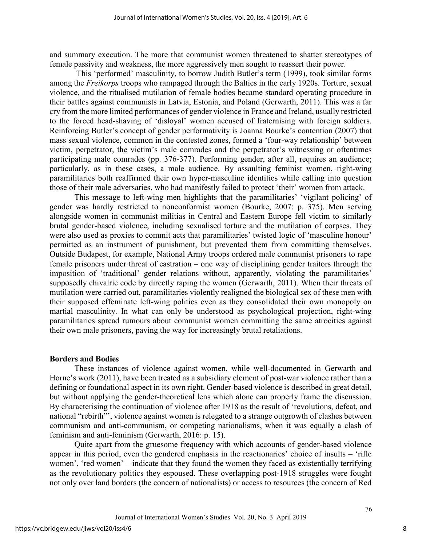and summary execution. The more that communist women threatened to shatter stereotypes of female passivity and weakness, the more aggressively men sought to reassert their power.

 This 'performed' masculinity, to borrow Judith Butler's term (1999), took similar forms among the Freikorps troops who rampaged through the Baltics in the early 1920s. Torture, sexual violence, and the ritualised mutilation of female bodies became standard operating procedure in their battles against communists in Latvia, Estonia, and Poland (Gerwarth, 2011). This was a far cry from the more limited performances of gender violence in France and Ireland, usually restricted to the forced head-shaving of 'disloyal' women accused of fraternising with foreign soldiers. Reinforcing Butler's concept of gender performativity is Joanna Bourke's contention (2007) that mass sexual violence, common in the contested zones, formed a 'four-way relationship' between victim, perpetrator, the victim's male comrades and the perpetrator's witnessing or oftentimes participating male comrades (pp. 376-377). Performing gender, after all, requires an audience; particularly, as in these cases, a male audience. By assaulting feminist women, right-wing paramilitaries both reaffirmed their own hyper-masculine identities while calling into question those of their male adversaries, who had manifestly failed to protect 'their' women from attack.

This message to left-wing men highlights that the paramilitaries' 'vigilant policing' of gender was hardly restricted to nonconformist women (Bourke, 2007: p. 375). Men serving alongside women in communist militias in Central and Eastern Europe fell victim to similarly brutal gender-based violence, including sexualised torture and the mutilation of corpses. They were also used as proxies to commit acts that paramilitaries' twisted logic of 'masculine honour' permitted as an instrument of punishment, but prevented them from committing themselves. Outside Budapest, for example, National Army troops ordered male communist prisoners to rape female prisoners under threat of castration – one way of disciplining gender traitors through the imposition of 'traditional' gender relations without, apparently, violating the paramilitaries' supposedly chivalric code by directly raping the women (Gerwarth, 2011). When their threats of mutilation were carried out, paramilitaries violently realigned the biological sex of these men with their supposed effeminate left-wing politics even as they consolidated their own monopoly on martial masculinity. In what can only be understood as psychological projection, right-wing paramilitaries spread rumours about communist women committing the same atrocities against their own male prisoners, paving the way for increasingly brutal retaliations.

#### Borders and Bodies

These instances of violence against women, while well-documented in Gerwarth and Horne's work (2011), have been treated as a subsidiary element of post-war violence rather than a defining or foundational aspect in its own right. Gender-based violence is described in great detail, but without applying the gender-theoretical lens which alone can properly frame the discussion. By characterising the continuation of violence after 1918 as the result of 'revolutions, defeat, and national "rebirth"', violence against women is relegated to a strange outgrowth of clashes between communism and anti-communism, or competing nationalisms, when it was equally a clash of feminism and anti-feminism (Gerwarth, 2016: p. 15).

Quite apart from the gruesome frequency with which accounts of gender-based violence appear in this period, even the gendered emphasis in the reactionaries' choice of insults – 'rifle women', 'red women' – indicate that they found the women they faced as existentially terrifying as the revolutionary politics they espoused. These overlapping post-1918 struggles were fought not only over land borders (the concern of nationalists) or access to resources (the concern of Red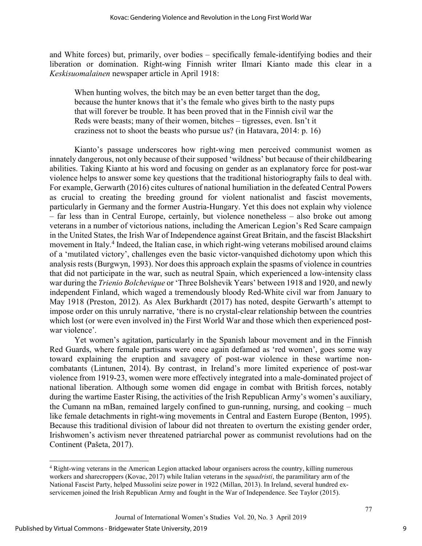and White forces) but, primarily, over bodies – specifically female-identifying bodies and their liberation or domination. Right-wing Finnish writer Ilmari Kianto made this clear in a Keskisuomalainen newspaper article in April 1918:

When hunting wolves, the bitch may be an even better target than the dog, because the hunter knows that it's the female who gives birth to the nasty pups that will forever be trouble. It has been proved that in the Finnish civil war the Reds were beasts; many of their women, bitches – tigresses, even. Isn't it craziness not to shoot the beasts who pursue us? (in Hatavara, 2014: p. 16)

Kianto's passage underscores how right-wing men perceived communist women as innately dangerous, not only because of their supposed 'wildness' but because of their childbearing abilities. Taking Kianto at his word and focusing on gender as an explanatory force for post-war violence helps to answer some key questions that the traditional historiography fails to deal with. For example, Gerwarth (2016) cites cultures of national humiliation in the defeated Central Powers as crucial to creating the breeding ground for violent nationalist and fascist movements, particularly in Germany and the former Austria-Hungary. Yet this does not explain why violence – far less than in Central Europe, certainly, but violence nonetheless – also broke out among veterans in a number of victorious nations, including the American Legion's Red Scare campaign in the United States, the Irish War of Independence against Great Britain, and the fascist Blackshirt movement in Italy.<sup>4</sup> Indeed, the Italian case, in which right-wing veterans mobilised around claims of a 'mutilated victory', challenges even the basic victor-vanquished dichotomy upon which this analysis rests (Burgwyn, 1993). Nor does this approach explain the spasms of violence in countries that did not participate in the war, such as neutral Spain, which experienced a low-intensity class war during the *Trienio Bolchevique* or 'Three Bolshevik Years' between 1918 and 1920, and newly independent Finland, which waged a tremendously bloody Red-White civil war from January to May 1918 (Preston, 2012). As Alex Burkhardt (2017) has noted, despite Gerwarth's attempt to impose order on this unruly narrative, 'there is no crystal-clear relationship between the countries which lost (or were even involved in) the First World War and those which then experienced postwar violence'.

Yet women's agitation, particularly in the Spanish labour movement and in the Finnish Red Guards, where female partisans were once again defamed as 'red women', goes some way toward explaining the eruption and savagery of post-war violence in these wartime noncombatants (Lintunen, 2014). By contrast, in Ireland's more limited experience of post-war violence from 1919-23, women were more effectively integrated into a male-dominated project of national liberation. Although some women did engage in combat with British forces, notably during the wartime Easter Rising, the activities of the Irish Republican Army's women's auxiliary, the Cumann na mBan, remained largely confined to gun-running, nursing, and cooking – much like female detachments in right-wing movements in Central and Eastern Europe (Benton, 1995). Because this traditional division of labour did not threaten to overturn the existing gender order, Irishwomen's activism never threatened patriarchal power as communist revolutions had on the Continent (Pašeta, 2017).

<sup>4</sup> Right-wing veterans in the American Legion attacked labour organisers across the country, killing numerous workers and sharecroppers (Kovac, 2017) while Italian veterans in the *squadristi*, the paramilitary arm of the National Fascist Party, helped Mussolini seize power in 1922 (Millan, 2013). In Ireland, several hundred exservicemen joined the Irish Republican Army and fought in the War of Independence. See Taylor (2015).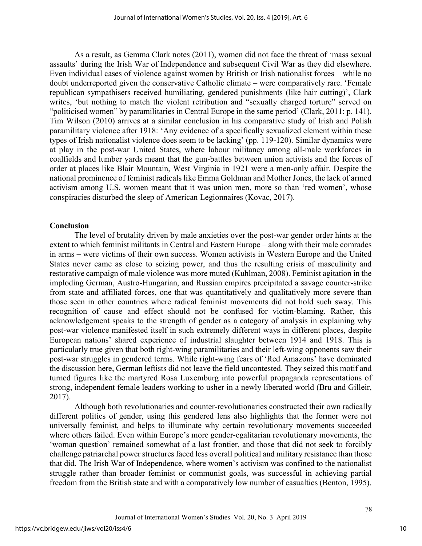As a result, as Gemma Clark notes (2011), women did not face the threat of 'mass sexual assaults' during the Irish War of Independence and subsequent Civil War as they did elsewhere. Even individual cases of violence against women by British or Irish nationalist forces – while no doubt underreported given the conservative Catholic climate – were comparatively rare. 'Female republican sympathisers received humiliating, gendered punishments (like hair cutting)', Clark writes, 'but nothing to match the violent retribution and "sexually charged torture" served on "politicised women" by paramilitaries in Central Europe in the same period' (Clark, 2011: p. 141). Tim Wilson (2010) arrives at a similar conclusion in his comparative study of Irish and Polish paramilitary violence after 1918: 'Any evidence of a specifically sexualized element within these types of Irish nationalist violence does seem to be lacking' (pp. 119-120). Similar dynamics were at play in the post-war United States, where labour militancy among all-male workforces in coalfields and lumber yards meant that the gun-battles between union activists and the forces of order at places like Blair Mountain, West Virginia in 1921 were a men-only affair. Despite the national prominence of feminist radicals like Emma Goldman and Mother Jones, the lack of armed activism among U.S. women meant that it was union men, more so than 'red women', whose conspiracies disturbed the sleep of American Legionnaires (Kovac, 2017).

#### Conclusion

The level of brutality driven by male anxieties over the post-war gender order hints at the extent to which feminist militants in Central and Eastern Europe – along with their male comrades in arms – were victims of their own success. Women activists in Western Europe and the United States never came as close to seizing power, and thus the resulting crisis of masculinity and restorative campaign of male violence was more muted (Kuhlman, 2008). Feminist agitation in the imploding German, Austro-Hungarian, and Russian empires precipitated a savage counter-strike from state and affiliated forces, one that was quantitatively and qualitatively more severe than those seen in other countries where radical feminist movements did not hold such sway. This recognition of cause and effect should not be confused for victim-blaming. Rather, this acknowledgement speaks to the strength of gender as a category of analysis in explaining why post-war violence manifested itself in such extremely different ways in different places, despite European nations' shared experience of industrial slaughter between 1914 and 1918. This is particularly true given that both right-wing paramilitaries and their left-wing opponents saw their post-war struggles in gendered terms. While right-wing fears of 'Red Amazons' have dominated the discussion here, German leftists did not leave the field uncontested. They seized this motif and turned figures like the martyred Rosa Luxemburg into powerful propaganda representations of strong, independent female leaders working to usher in a newly liberated world (Bru and Gilleir, 2017).

Although both revolutionaries and counter-revolutionaries constructed their own radically different politics of gender, using this gendered lens also highlights that the former were not universally feminist, and helps to illuminate why certain revolutionary movements succeeded where others failed. Even within Europe's more gender-egalitarian revolutionary movements, the 'woman question' remained somewhat of a last frontier, and those that did not seek to forcibly challenge patriarchal power structures faced less overall political and military resistance than those that did. The Irish War of Independence, where women's activism was confined to the nationalist struggle rather than broader feminist or communist goals, was successful in achieving partial freedom from the British state and with a comparatively low number of casualties (Benton, 1995).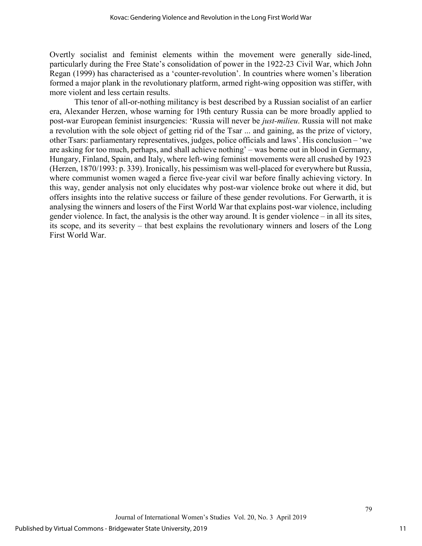Overtly socialist and feminist elements within the movement were generally side-lined, particularly during the Free State's consolidation of power in the 1922-23 Civil War, which John Regan (1999) has characterised as a 'counter-revolution'. In countries where women's liberation formed a major plank in the revolutionary platform, armed right-wing opposition was stiffer, with more violent and less certain results.

This tenor of all-or-nothing militancy is best described by a Russian socialist of an earlier era, Alexander Herzen, whose warning for 19th century Russia can be more broadly applied to post-war European feminist insurgencies: 'Russia will never be just-milieu. Russia will not make a revolution with the sole object of getting rid of the Tsar ... and gaining, as the prize of victory, other Tsars: parliamentary representatives, judges, police officials and laws'. His conclusion – 'we are asking for too much, perhaps, and shall achieve nothing' – was borne out in blood in Germany, Hungary, Finland, Spain, and Italy, where left-wing feminist movements were all crushed by 1923 (Herzen, 1870/1993: p. 339). Ironically, his pessimism was well-placed for everywhere but Russia, where communist women waged a fierce five-year civil war before finally achieving victory. In this way, gender analysis not only elucidates why post-war violence broke out where it did, but offers insights into the relative success or failure of these gender revolutions. For Gerwarth, it is analysing the winners and losers of the First World War that explains post-war violence, including gender violence. In fact, the analysis is the other way around. It is gender violence – in all its sites, its scope, and its severity – that best explains the revolutionary winners and losers of the Long First World War.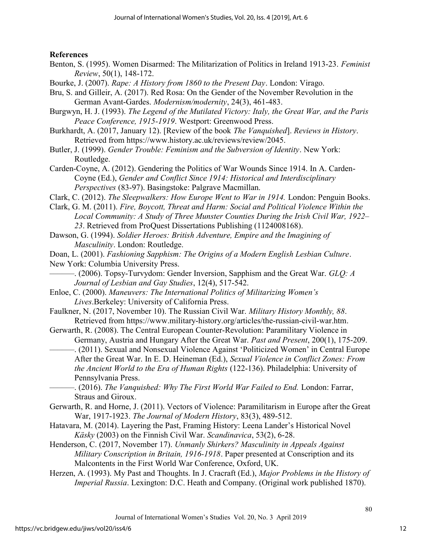### References

- Benton, S. (1995). Women Disarmed: The Militarization of Politics in Ireland 1913-23. Feminist Review, 50(1), 148-172.
- Bourke, J. (2007). Rape: A History from 1860 to the Present Day. London: Virago.
- Bru, S. and Gilleir, A. (2017). Red Rosa: On the Gender of the November Revolution in the German Avant-Gardes. Modernism/modernity, 24(3), 461-483.
- Burgwyn, H. J. (1993). The Legend of the Mutilated Victory: Italy, the Great War, and the Paris Peace Conference, 1915-1919. Westport: Greenwood Press.
- Burkhardt, A. (2017, January 12). [Review of the book The Vanquished]. Reviews in History. Retrieved from https://www.history.ac.uk/reviews/review/2045.
- Butler, J. (1999). Gender Trouble: Feminism and the Subversion of Identity. New York: Routledge.
- Carden-Coyne, A. (2012). Gendering the Politics of War Wounds Since 1914. In A. Carden-Coyne (Ed.), Gender and Conflict Since 1914: Historical and Interdisciplinary Perspectives (83-97). Basingstoke: Palgrave Macmillan.
- Clark, C. (2012). The Sleepwalkers: How Europe Went to War in 1914. London: Penguin Books.
- Clark, G. M. (2011). Fire, Boycott, Threat and Harm: Social and Political Violence Within the Local Community: A Study of Three Munster Counties During the Irish Civil War, 1922– 23. Retrieved from ProQuest Dissertations Publishing (1124008168).
- Dawson, G. (1994). Soldier Heroes: British Adventure, Empire and the Imagining of Masculinity. London: Routledge.
- Doan, L. (2001). Fashioning Sapphism: The Origins of a Modern English Lesbian Culture. New York: Columbia University Press.
- $-$ . (2006). Topsy-Turvydom: Gender Inversion, Sapphism and the Great War. GLO: A Journal of Lesbian and Gay Studies, 12(4), 517-542.
- Enloe, C. (2000). Maneuvers: The International Politics of Militarizing Women's Lives.Berkeley: University of California Press.
- Faulkner, N. (2017, November 10). The Russian Civil War. Military History Monthly, 88. Retrieved from https://www.military-history.org/articles/the-russian-civil-war.htm.
- Gerwarth, R. (2008). The Central European Counter-Revolution: Paramilitary Violence in Germany, Austria and Hungary After the Great War. Past and Present, 200(1), 175-209.

––––––. (2011). Sexual and Nonsexual Violence Against 'Politicized Women' in Central Europe After the Great War. In E. D. Heineman (Ed.), Sexual Violence in Conflict Zones: From the Ancient World to the Era of Human Rights (122-136). Philadelphia: University of Pennsylvania Press.

–. (2016). The Vanquished: Why The First World War Failed to End. London: Farrar, Straus and Giroux.

- Gerwarth, R. and Horne, J. (2011). Vectors of Violence: Paramilitarism in Europe after the Great War, 1917-1923. The Journal of Modern History, 83(3), 489-512.
- Hatavara, M. (2014). Layering the Past, Framing History: Leena Lander's Historical Novel Käsky (2003) on the Finnish Civil War. Scandinavica, 53(2), 6-28.
- Henderson, C. (2017, November 17). Unmanly Shirkers? Masculinity in Appeals Against Military Conscription in Britain, 1916-1918. Paper presented at Conscription and its Malcontents in the First World War Conference, Oxford, UK.
- Herzen, A. (1993). My Past and Thoughts. In J. Cracraft (Ed.), *Major Problems in the History of* Imperial Russia. Lexington: D.C. Heath and Company. (Original work published 1870).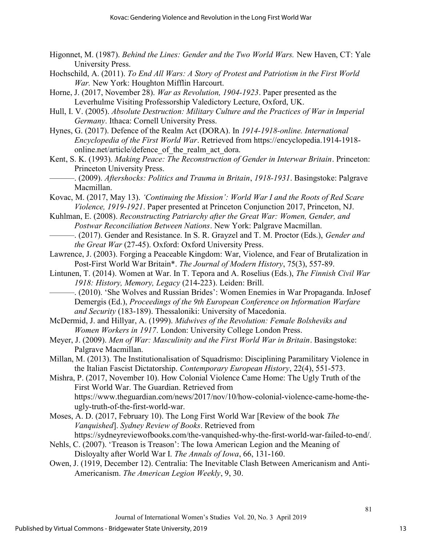- Higonnet, M. (1987). Behind the Lines: Gender and the Two World Wars. New Haven, CT: Yale University Press.
- Hochschild, A. (2011). To End All Wars: A Story of Protest and Patriotism in the First World War. New York: Houghton Mifflin Harcourt.
- Horne, J. (2017, November 28). War as Revolution, 1904-1923. Paper presented as the Leverhulme Visiting Professorship Valedictory Lecture, Oxford, UK.
- Hull, I. V. (2005). Absolute Destruction: Military Culture and the Practices of War in Imperial Germany. Ithaca: Cornell University Press.
- Hynes, G. (2017). Defence of the Realm Act (DORA). In 1914-1918-online. International Encyclopedia of the First World War. Retrieved from https://encyclopedia.1914-1918 online.net/article/defence of the realm act dora.
- Kent, S. K. (1993). Making Peace: The Reconstruction of Gender in Interwar Britain. Princeton: Princeton University Press.
	- –. (2009). Aftershocks: Politics and Trauma in Britain, 1918-1931. Basingstoke: Palgrave Macmillan.
- Kovac, M. (2017, May 13). 'Continuing the Mission': World War I and the Roots of Red Scare Violence, 1919-1921. Paper presented at Princeton Conjunction 2017, Princeton, NJ.
- Kuhlman, E. (2008). Reconstructing Patriarchy after the Great War: Women, Gender, and Postwar Reconciliation Between Nations. New York: Palgrave Macmillan.
	- –. (2017). Gender and Resistance. In S. R. Grayzel and T. M. Proctor (Eds.), Gender and the Great War (27-45). Oxford: Oxford University Press.
- Lawrence, J. (2003). Forging a Peaceable Kingdom: War, Violence, and Fear of Brutalization in Post-First World War Britain\*. The Journal of Modern History, 75(3), 557-89.
- Lintunen, T. (2014). Women at War. In T. Tepora and A. Roselius (Eds.), The Finnish Civil War 1918: History, Memory, Legacy (214-223). Leiden: Brill.
- ––––––. (2010). 'She Wolves and Russian Brides': Women Enemies in War Propaganda. InJosef Demergis (Ed.), Proceedings of the 9th European Conference on Information Warfare and Security (183-189). Thessaloniki: University of Macedonia.
- McDermid, J. and Hillyar, A. (1999). Midwives of the Revolution: Female Bolsheviks and Women Workers in 1917. London: University College London Press.
- Meyer, J. (2009). Men of War: Masculinity and the First World War in Britain. Basingstoke: Palgrave Macmillan.
- Millan, M. (2013). The Institutionalisation of Squadrismo: Disciplining Paramilitary Violence in the Italian Fascist Dictatorship. Contemporary European History, 22(4), 551-573.

Mishra, P. (2017, November 10). How Colonial Violence Came Home: The Ugly Truth of the First World War. The Guardian. Retrieved from https://www.theguardian.com/news/2017/nov/10/how-colonial-violence-came-home-theugly-truth-of-the-first-world-war.

- Moses, A. D. (2017, February 10). The Long First World War [Review of the book The Vanquished]. Sydney Review of Books. Retrieved from https://sydneyreviewofbooks.com/the-vanquished-why-the-first-world-war-failed-to-end/.
- Nehls, C. (2007). 'Treason is Treason': The Iowa American Legion and the Meaning of Disloyalty after World War I. The Annals of Iowa, 66, 131-160.
- Owen, J. (1919, December 12). Centralia: The Inevitable Clash Between Americanism and Anti-Americanism. The American Legion Weekly, 9, 30.